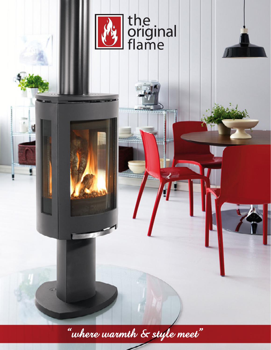

"where warmth & style meet"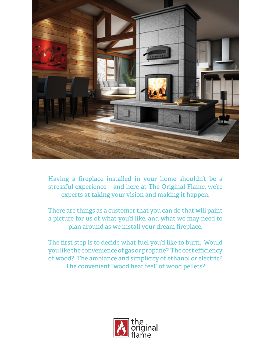

Having a fireplace installed in your home shouldn't be a stressful experience – and here at The Original Flame, we're experts at taking your vision and making it happen.

There are things as a customer that you can do that will paint a picture for us of what you'd like, and what we may need to plan around as we install your dream fireplace.

The first step is to decide what fuel you'd like to burn. Would you like the convenience of gas or propane? The cost efficiency of wood? The ambiance and simplicity of ethanol or electric? The convenient "wood heat feel" of wood pellets?

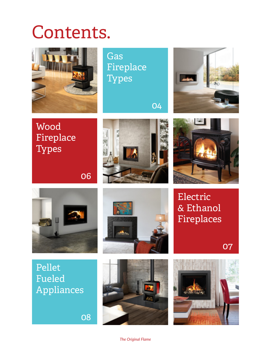# Contents.



Gas [Fireplace](#page-3-0)  **Types** 

04



Wood [Fireplace](#page-5-0)  Types







Pellet Fueled [Appliances](#page-7-0)

08

06





Electric [& Ethanol](#page-6-0)  Fireplaces

07

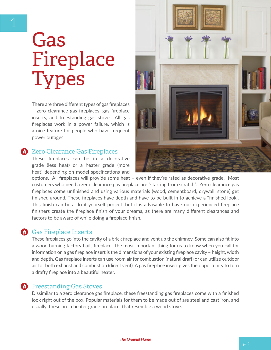# <span id="page-3-0"></span>Gas Fireplace **Types**

There are three different types of gas fireplaces – zero clearance gas fireplaces, gas fireplace inserts, and freestanding gas stoves. All gas fireplaces work in a power failure, which is a nice feature for people who have frequent power outages.

### **2** Zero Clearance Gas Fireplaces

These fireplaces can be in a decorative grade (less heat) or a heater grade (more heat) depending on model specifications and



options. All fireplaces will provide some heat – even if they're rated as decorative grade. Most customers who need a zero clearance gas fireplace are "starting from scratch". Zero clearance gas fireplaces come unfinished and using various materials (wood, cementboard, drywall, stone) get finished around. These fireplaces have depth and have to be built in to achieve a "finished look". This finish can be a do it yourself project, but it is advisable to have our experienced fireplace finishers create the fireplace finish of your dreams, as there are many different clearances and factors to be aware of while doing a fireplace finish.

#### **Gas Fireplace Inserts**

These fireplaces go into the cavity of a brick fireplace and vent up the chimney. Some can also fit into a wood burning factory built fireplace. The most important thing for us to know when you call for information on a gas fireplace insert is the dimensions of your existing fireplace cavity – height, width and depth. Gas fireplace inserts can use room air for combustion (natural draft) or can utilize outdoor air for both exhaust and combustion (direct vent). A gas fireplace insert gives the opportunity to turn a drafty fireplace into a beautiful heater.

#### **A** Freestanding Gas Stoves

Dissimilar to a zero clearance gas fireplace, these freestanding gas fireplaces come with a finished look right out of the box. Popular materials for them to be made out of are steel and cast iron, and usually, these are a heater grade fireplace, that resemble a wood stove.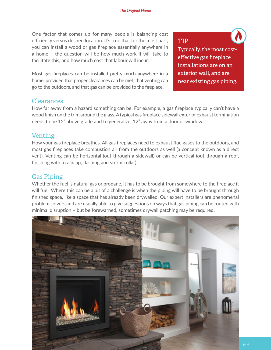One factor that comes up for many people is balancing cost efficiency versus desired location. It's true that for the most part, you can install a wood or gas fireplace essentially anywhere in a home – the question will be how much work it will take to facilitate this, and how much cost that labour will incur.

Most gas fireplaces can be installed pretty much anywhere in a home, provided that proper clearances can be met, that venting can go to the outdoors, and that gas can be provided to the fireplace.

### **TIP**

Typically, the most costeffective gas fireplace installations are on an exterior wall, and are near existing gas piping.

 $\boldsymbol{\Lambda}$ 

#### Clearances

How far away from a hazard something can be. For example, a gas fireplace typically can't have a wood finish on the trim around the glass. A typical gas fireplace sidewall exterior exhaust termination needs to be 12" above grade and to generalize, 12" away from a door or window.

#### Venting

How your gas fireplace breathes. All gas fireplaces need to exhaust flue gases to the outdoors, and most gas fireplaces take combustion air from the outdoors as well (a concept known as a direct vent). Venting can be horizontal (out through a sidewall) or can be vertical (out through a roof, finishing with a raincap, flashing and storm collar).

### Gas Piping

Whether the fuel is natural gas or propane, it has to be brought from somewhere to the fireplace it will fuel. Where this can be a bit of a challenge is when the piping will have to be brought through finished space, like a space that has already been drywalled. Our expert installers are phenomenal problem solvers and are usually able to give suggestions on ways that gas piping can be routed with minimal disruption – but be forewarned, sometimes drywall patching may be required.

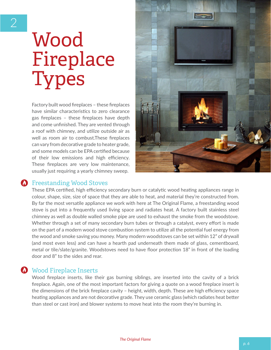# <span id="page-5-0"></span>**Wood** Fireplace **Types**

Factory built wood fireplaces – these fireplaces have similar characteristics to zero clearance gas fireplaces – these fireplaces have depth and come unfinished. They are vented through a roof with chimney, and utilize outside air as well as room air to combust.These fireplaces can vary from decorative grade to heater grade, and some models can be EPA certified because of their low emissions and high efficiency. These fireplaces are very low maintenance, usually just requiring a yearly chimney sweep.



### **A** Freestanding Wood Stoves

These EPA certified, high efficiency secondary burn or catalytic wood heating appliances range in colour, shape, size, size of space that they are able to heat, and material they're constructed from. By far the most versatile appliance we work with here at The Original Flame, a freestanding wood stove is put into a frequently used living space and radiates heat. A factory built stainless steel chimney as well as double walled smoke pipe are used to exhaust the smoke from the woodstove. Whether through a set of many secondary burn tubes or through a catalyst, every effort is made on the part of a modern wood stove combustion system to utilize all the potential fuel energy from the wood and smoke saving you money. Many modern woodstoves can be set within 12" of drywall (and most even less) and can have a hearth pad underneath them made of glass, cementboard, metal or tile/slate/granite. Woodstoves need to have floor protection 18" in front of the loading door and 8" to the sides and rear.

### **Wood Fireplace Inserts**

Wood fireplace inserts, like their gas burning siblings, are inserted into the cavity of a brick fireplace. Again, one of the most important factors for giving a quote on a wood fireplace insert is the dimensions of the brick fireplace cavity – height, width, depth. These are high efficiency space heating appliances and are not decorative grade. They use ceramic glass (which radiates heat better than steel or cast iron) and blower systems to move heat into the room they're burning in.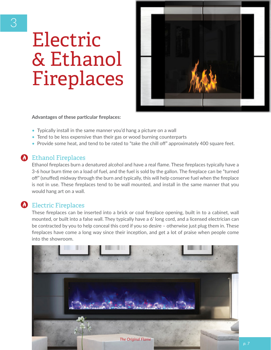# <span id="page-6-0"></span>Electric & Ethanol Fireplaces



**Advantages of these particular fireplaces:**

- Typically install in the same manner you'd hang a picture on a wall
- Tend to be less expensive than their gas or wood burning counterparts
- Provide some heat, and tend to be rated to "take the chill off" approximately 400 square feet.

### **(b)** Ethanol Fireplaces

Ethanol fireplaces burn a denatured alcohol and have a real flame. These fireplaces typically have a 3-6 hour burn time on a load of fuel, and the fuel is sold by the gallon. The fireplace can be "turned off" (snuffed) midway through the burn and typically, this will help conserve fuel when the fireplace is not in use. These fireplaces tend to be wall mounted, and install in the same manner that you would hang art on a wall.

## **O** Electric Fireplaces

These fireplaces can be inserted into a brick or coal fireplace opening, built in to a cabinet, wall mounted, or built into a false wall. They typically have a 6' long cord, and a licensed electrician can be contracted by you to help conceal this cord if you so desire – otherwise just plug them in. These fireplaces have come a long way since their inception, and get a lot of praise when people come into the showroom.

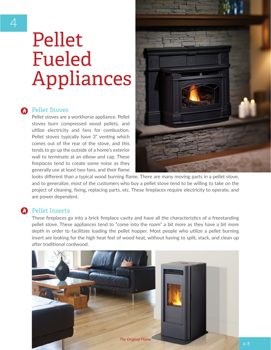# <span id="page-7-0"></span>Pellet Fueled Appliances

#### **C** Pellet Stoves

Pellet stoves are a workhorse appliance. Pellet stoves burn compressed wood pellets, and utilize electricity and fans for combustion. Pellet stoves typically have 3" venting which comes out of the rear of the stove, and this tends to go up the outside of a home's exterior wall to terminate at an elbow and cap. These fireplaces tend to create some noise as they generally use at least two fans, and their flame



looks different than a typical wood burning flame. There are many moving parts in a pellet stove, and to generalize, most of the customers who buy a pellet stove tend to be willing to take on the project of cleaning, fixing, replacing parts, etc. These fireplaces require electricity to operate, and are power dependent.

#### **A** Pellet Inserts

These fireplaces go into a brick fireplace cavity and have all the characteristics of a freestanding pellet stove. These appliances tend to "come into the room" a bit more as they have a bit more depth in order to facilitate loading the pellet hopper. Most people who utilize a pellet burning insert are looking for the high heat feel of wood heat, without having to split, stack, and clean up after traditional cordwood.